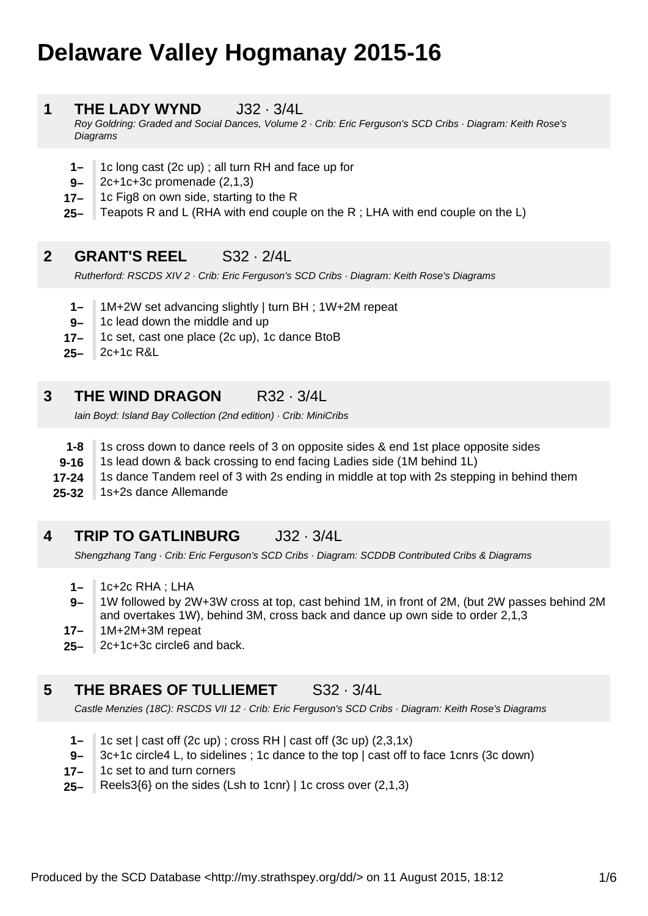# **Delaware Valley Hogmanay 2015-16**

#### **1 THE LADY WYND**  $J32 \cdot 3/4$

Roy Goldring: Graded and Social Dances, Volume 2 · Crib: Eric Ferguson's SCD Cribs · Diagram: Keith Rose's **Diagrams** 

- **1–** 1c long cast (2c up) ; all turn RH and face up for
- **9–** 2c+1c+3c promenade (2,1,3)
- **17–** 1c Fig8 on own side, starting to the R
- **25–** Teapots R and L (RHA with end couple on the R ; LHA with end couple on the L)

# **2 GRANT'S REEL** S32 · 2/4L

Rutherford: RSCDS XIV 2 · Crib: Eric Ferguson's SCD Cribs · Diagram: Keith Rose's Diagrams

- **1–** 1M+2W set advancing slightly | turn BH ; 1W+2M repeat
- **9–** 1c lead down the middle and up
- **17–** 1c set, cast one place (2c up), 1c dance BtoB
- **25–** 2c+1c R&L

# **3 THE WIND DRAGON** R32 · 3/4L

Iain Boyd: Island Bay Collection (2nd edition) · Crib: MiniCribs

- **1-8** 1s cross down to dance reels of 3 on opposite sides & end 1st place opposite sides
- **9-16** 1s lead down & back crossing to end facing Ladies side (1M behind 1L)
- **17-24** 1s dance Tandem reel of 3 with 2s ending in middle at top with 2s stepping in behind them
- **25-32** 1s+2s dance Allemande

# **4 TRIP TO GATLINBURG** J32 · 3/4L

Shengzhang Tang · Crib: Eric Ferguson's SCD Cribs · Diagram: SCDDB Contributed Cribs & Diagrams

- **1–** 1c+2c RHA ; LHA
- **9–** 1W followed by 2W+3W cross at top, cast behind 1M, in front of 2M, (but 2W passes behind 2M and overtakes 1W), behind 3M, cross back and dance up own side to order 2,1,3
- **17–** 1M+2M+3M repeat
- **25–** 2c+1c+3c circle6 and back.

# **5 THE BRAES OF TULLIEMET** S32 · 3/4L

Castle Menzies (18C): RSCDS VII 12 · Crib: Eric Ferguson's SCD Cribs · Diagram: Keith Rose's Diagrams

- **1–** 1c set | cast off (2c up) ; cross RH | cast off (3c up) (2,3,1x)
- **9–** 3c+1c circle4 L, to sidelines ; 1c dance to the top | cast off to face 1cnrs (3c down)
- **17–** 1c set to and turn corners
- **25–** Reels3{6} on the sides (Lsh to 1cnr) | 1c cross over (2,1,3)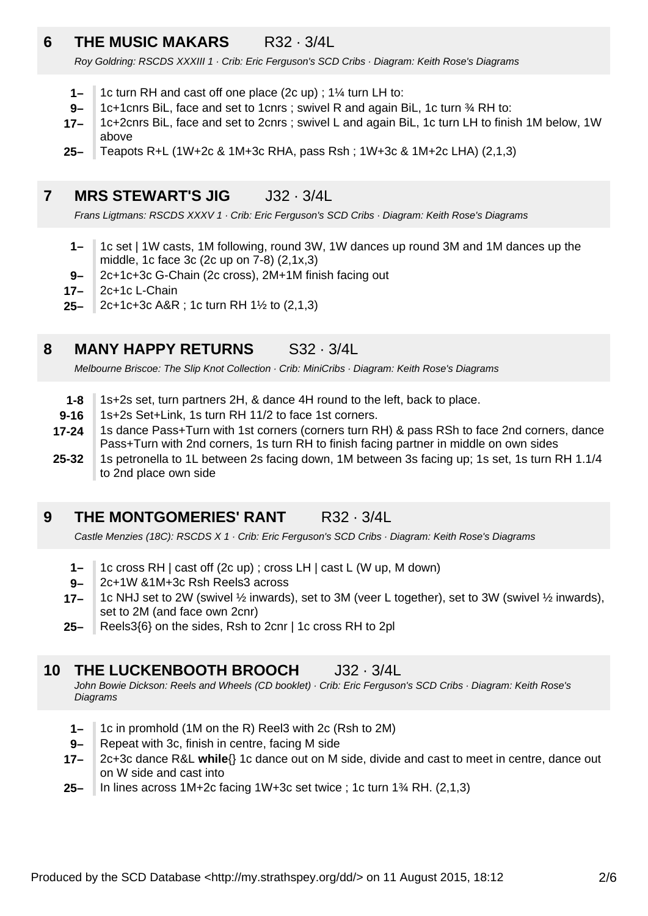# **6 THE MUSIC MAKARS** R32 · 3/4L

Roy Goldring: RSCDS XXXIII 1 · Crib: Eric Ferguson's SCD Cribs · Diagram: Keith Rose's Diagrams

- **1–** 1c turn RH and cast off one place (2c up) ; 1¼ turn LH to:
- **9–** 1c+1cnrs BiL, face and set to 1cnrs ; swivel R and again BiL, 1c turn ¾ RH to:
- **17–** 1c+2cnrs BiL, face and set to 2cnrs ; swivel L and again BiL, 1c turn LH to finish 1M below, 1W above
- **25–** Teapots R+L (1W+2c & 1M+3c RHA, pass Rsh ; 1W+3c & 1M+2c LHA) (2,1,3)

#### **7 MRS STEWART'S JIG** J32 · 3/4L

Frans Ligtmans: RSCDS XXXV 1 · Crib: Eric Ferguson's SCD Cribs · Diagram: Keith Rose's Diagrams

- **1–** 1c set | 1W casts, 1M following, round 3W, 1W dances up round 3M and 1M dances up the middle, 1c face 3c (2c up on 7-8) (2,1x,3)
- **9–** 2c+1c+3c G-Chain (2c cross), 2M+1M finish facing out
- **17–** 2c+1c L-Chain
- **25–** 2c+1c+3c A&R ; 1c turn RH 1½ to (2,1,3)

#### **8 MANY HAPPY RETURNS** S32 · 3/4L

Melbourne Briscoe: The Slip Knot Collection · Crib: MiniCribs · Diagram: Keith Rose's Diagrams

- **1-8** 1s+2s set, turn partners 2H, & dance 4H round to the left, back to place.
- **9-16** 1s+2s Set+Link, 1s turn RH 11/2 to face 1st corners.
- **17-24** 1s dance Pass+Turn with 1st corners (corners turn RH) & pass RSh to face 2nd corners, dance Pass+Turn with 2nd corners, 1s turn RH to finish facing partner in middle on own sides
- **25-32** 1s petronella to 1L between 2s facing down, 1M between 3s facing up; 1s set, 1s turn RH 1.1/4 to 2nd place own side

#### **9 THE MONTGOMERIES' RANT R32 · 3/4L**

Castle Menzies (18C): RSCDS X 1 · Crib: Eric Ferguson's SCD Cribs · Diagram: Keith Rose's Diagrams

- **1–** 1c cross RH | cast off (2c up) ; cross LH | cast L (W up, M down)
- **9–** 2c+1W &1M+3c Rsh Reels3 across
- **17–** 1c NHJ set to 2W (swivel ½ inwards), set to 3M (veer L together), set to 3W (swivel ½ inwards), set to 2M (and face own 2cnr)
- **25–** Reels3{6} on the sides, Rsh to 2cnr | 1c cross RH to 2pl

#### **10 THE LUCKENBOOTH BROOCH** J32 · 3/4L

John Bowie Dickson: Reels and Wheels (CD booklet) · Crib: Eric Ferguson's SCD Cribs · Diagram: Keith Rose's **Diagrams** 

- **1–** 1c in promhold (1M on the R) Reel3 with 2c (Rsh to 2M)
- **9–** Repeat with 3c, finish in centre, facing M side
- **17–** 2c+3c dance R&L **while**{} 1c dance out on M side, divide and cast to meet in centre, dance out on W side and cast into
- **25–** In lines across 1M+2c facing 1W+3c set twice ; 1c turn 1¾ RH. (2,1,3)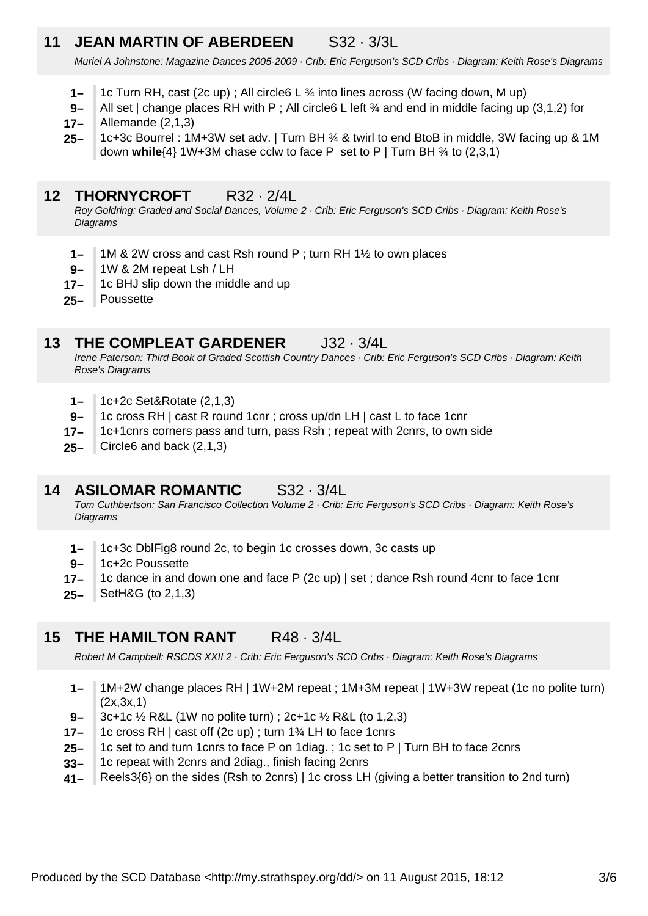# **11 JEAN MARTIN OF ABERDEEN** S32 · 3/3L

Muriel A Johnstone: Magazine Dances 2005-2009 · Crib: Eric Ferguson's SCD Cribs · Diagram: Keith Rose's Diagrams

- **1–** 1c Turn RH, cast (2c up) ; All circle  $L \frac{3}{4}$  into lines across (W facing down, M up)
- **17– 9–** All set | change places RH with P ; All circle6 L left  $\frac{3}{4}$  and end in middle facing up (3,1,2) for Allemande (2,1,3)
- **25–** 1c+3c Bourrel : 1M+3W set adv. | Turn BH ¾ & twirl to end BtoB in middle, 3W facing up & 1M down **while**{4} 1W+3M chase cclw to face P set to P | Turn BH ¾ to (2,3,1)

### **12 THORNYCROFT** R32 · 2/4L

Roy Goldring: Graded and Social Dances, Volume 2 · Crib: Eric Ferguson's SCD Cribs · Diagram: Keith Rose's **Diagrams** 

- **1–** 1M & 2W cross and cast Rsh round P ; turn RH 1½ to own places
- **9–** 1W & 2M repeat Lsh / LH
- **17–** 1c BHJ slip down the middle and up
- **25–** Poussette

#### **13 THE COMPLEAT GARDENER** J32 · 3/4L

Irene Paterson: Third Book of Graded Scottish Country Dances · Crib: Eric Ferguson's SCD Cribs · Diagram: Keith Rose's Diagrams

- **1–** 1c+2c Set&Rotate (2,1,3)
- **9–** 1c cross RH | cast R round 1cnr ; cross up/dn LH | cast L to face 1cnr
- **17–** 1c+1cnrs corners pass and turn, pass Rsh ; repeat with 2cnrs, to own side
- **25–** Circle6 and back (2,1,3)

# **14 ASILOMAR ROMANTIC** S32 · 3/4L

Tom Cuthbertson: San Francisco Collection Volume 2 · Crib: Eric Ferguson's SCD Cribs · Diagram: Keith Rose's **Diagrams** 

- **1–** 1c+3c DblFig8 round 2c, to begin 1c crosses down, 3c casts up
- **9–** 1c+2c Poussette
- **17–** 1c dance in and down one and face P (2c up) | set ; dance Rsh round 4cnr to face 1cnr
- **25–** SetH&G (to 2,1,3)

# **15 THE HAMILTON RANT** R48 · 3/4L

Robert M Campbell: RSCDS XXII 2 · Crib: Eric Ferguson's SCD Cribs · Diagram: Keith Rose's Diagrams

- **1–** 1M+2W change places RH | 1W+2M repeat ; 1M+3M repeat | 1W+3W repeat (1c no polite turn)  $(2x, 3x, 1)$
- **9–** 3c+1c ½ R&L (1W no polite turn) ; 2c+1c ½ R&L (to 1,2,3)
- **17–** 1c cross RH | cast off (2c up) ; turn 1¾ LH to face 1cnrs
- **25–** 1c set to and turn 1cnrs to face P on 1diag. ; 1c set to P | Turn BH to face 2cnrs
- **33–** 1c repeat with 2cnrs and 2diag., finish facing 2cnrs
- **41–** Reels3{6} on the sides (Rsh to 2cnrs) | 1c cross LH (giving a better transition to 2nd turn)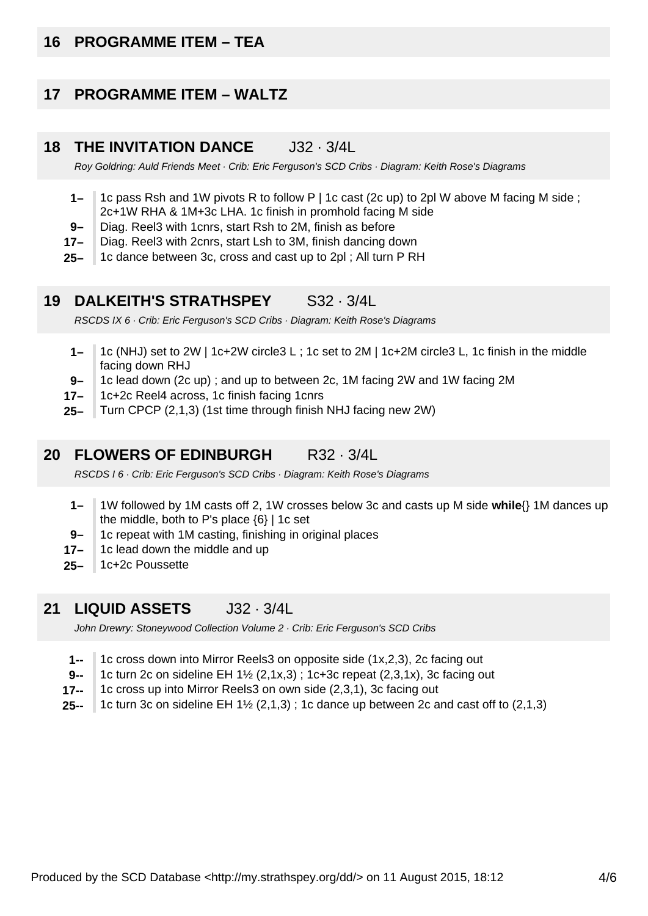# **16 PROGRAMME ITEM – TEA**

#### **17 PROGRAMME ITEM – WALTZ**

#### **18 THE INVITATION DANCE** J32 · 3/4L

Roy Goldring: Auld Friends Meet · Crib: Eric Ferguson's SCD Cribs · Diagram: Keith Rose's Diagrams

- **1–** 1c pass Rsh and 1W pivots R to follow P | 1c cast (2c up) to 2pl W above M facing M side ; 2c+1W RHA & 1M+3c LHA. 1c finish in promhold facing M side
- **9–** Diag. Reel3 with 1cnrs, start Rsh to 2M, finish as before
- **17–** Diag. Reel3 with 2cnrs, start Lsh to 3M, finish dancing down
- **25–** 1c dance between 3c, cross and cast up to 2pl ; All turn P RH

#### **19 DALKEITH'S STRATHSPEY** S32 · 3/4L

RSCDS IX 6 · Crib: Eric Ferguson's SCD Cribs · Diagram: Keith Rose's Diagrams

- **1–** 1c (NHJ) set to 2W | 1c+2W circle3 L ; 1c set to 2M | 1c+2M circle3 L, 1c finish in the middle facing down RHJ
- **9–** 1c lead down (2c up) ; and up to between 2c, 1M facing 2W and 1W facing 2M
- **17–** 1c+2c Reel4 across, 1c finish facing 1cnrs
- **25–** Turn CPCP (2,1,3) (1st time through finish NHJ facing new 2W)

#### **20 FLOWERS OF EDINBURGH** R32 · 3/4L

RSCDS I 6 · Crib: Eric Ferguson's SCD Cribs · Diagram: Keith Rose's Diagrams

- **1–** 1W followed by 1M casts off 2, 1W crosses below 3c and casts up M side **while**{} 1M dances up the middle, both to P's place {6} | 1c set
- **9–** 1c repeat with 1M casting, finishing in original places
- **17–** 1c lead down the middle and up
- **25–** 1c+2c Poussette

#### **21 LIQUID ASSETS** J32 · 3/4L

John Drewry: Stoneywood Collection Volume 2 · Crib: Eric Ferguson's SCD Cribs

- **1--** 1c cross down into Mirror Reels3 on opposite side (1x,2,3), 2c facing out
- **9--** 1c turn 2c on sideline EH 1½ (2,1x,3) ; 1c+3c repeat (2,3,1x), 3c facing out
- **17--** 1c cross up into Mirror Reels3 on own side (2,3,1), 3c facing out
- **25--** 1c turn 3c on sideline EH  $1\frac{1}{2}$  (2,1,3); 1c dance up between 2c and cast off to (2,1,3)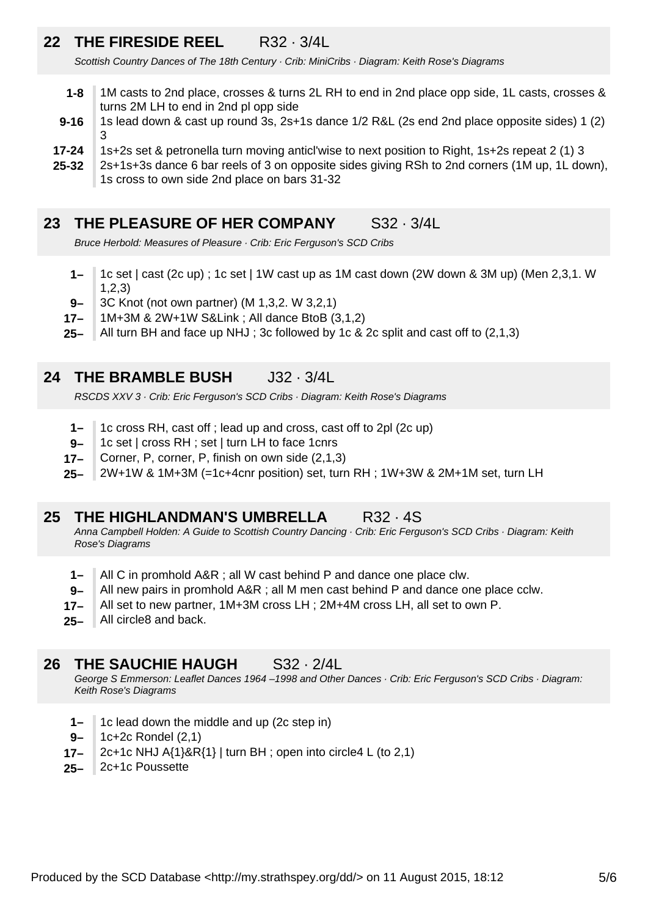# **22 THE FIRESIDE REEL** R32 · 3/4L

Scottish Country Dances of The 18th Century · Crib: MiniCribs · Diagram: Keith Rose's Diagrams

- **1-8** 1M casts to 2nd place, crosses & turns 2L RH to end in 2nd place opp side, 1L casts, crosses & turns 2M LH to end in 2nd pl opp side
- **9-16** 1s lead down & cast up round 3s, 2s+1s dance 1/2 R&L (2s end 2nd place opposite sides) 1 (2) 3
- **17-24** 1s+2s set & petronella turn moving anticl'wise to next position to Right, 1s+2s repeat 2 (1) 3
- **25-32** 2s+1s+3s dance 6 bar reels of 3 on opposite sides giving RSh to 2nd corners (1M up, 1L down), 1s cross to own side 2nd place on bars 31-32

# **23 THE PLEASURE OF HER COMPANY** S32 · 3/4L

Bruce Herbold: Measures of Pleasure · Crib: Eric Ferguson's SCD Cribs

- **1–** 1c set | cast (2c up) ; 1c set | 1W cast up as 1M cast down (2W down & 3M up) (Men 2,3,1. W 1,2,3)
- **9–** 3C Knot (not own partner) (M 1,3,2. W 3,2,1)
- **17–** 1M+3M & 2W+1W S&Link ; All dance BtoB (3,1,2)
- **25–** All turn BH and face up NHJ ; 3c followed by 1c & 2c split and cast off to (2,1,3)

#### **24 THE BRAMBLE BUSH** J32 · 3/4L

RSCDS XXV 3 · Crib: Eric Ferguson's SCD Cribs · Diagram: Keith Rose's Diagrams

- **1–** 1c cross RH, cast off ; lead up and cross, cast off to 2pl (2c up)
- **9–** 1c set | cross RH ; set | turn LH to face 1cnrs
- **17–** Corner, P, corner, P, finish on own side (2,1,3)
- **25–** 2W+1W & 1M+3M (=1c+4cnr position) set, turn RH ; 1W+3W & 2M+1M set, turn LH

#### **25 THE HIGHLANDMAN'S UMBRELLA** R32 · 4S

Anna Campbell Holden: A Guide to Scottish Country Dancing · Crib: Eric Ferguson's SCD Cribs · Diagram: Keith Rose's Diagrams

- **1–** All C in promhold A&R ; all W cast behind P and dance one place clw.
- **9–** All new pairs in promhold A&R ; all M men cast behind P and dance one place cclw.
- **17–** All set to new partner, 1M+3M cross LH ; 2M+4M cross LH, all set to own P.
- **25–** All circle8 and back.

#### **26 THE SAUCHIE HAUGH S32 · 2/4L**

George S Emmerson: Leaflet Dances 1964 –1998 and Other Dances · Crib: Eric Ferguson's SCD Cribs · Diagram: Keith Rose's Diagrams

- **1–** 1c lead down the middle and up (2c step in)
- **9–** 1c+2c Rondel (2,1)
- **17–** 2c+1c NHJ  $A\{1\}$ &R $\{1\}$  | turn BH ; open into circle4 L (to 2,1)
- **25–** 2c+1c Poussette